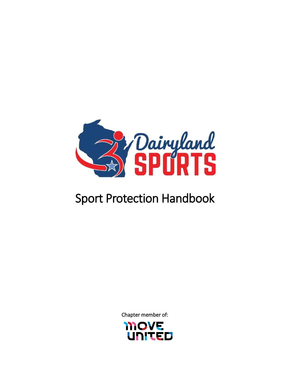

# Sport Protection Handbook

Chapter member of:

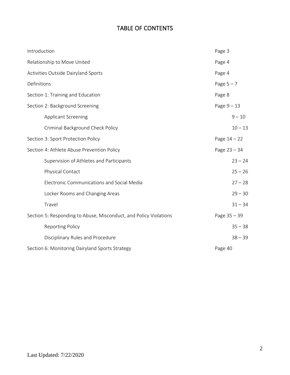# TABLE OF CONTENTS

| Introduction                                                      | Page 3         |
|-------------------------------------------------------------------|----------------|
| Relationship to Move United                                       | Page 4         |
| Activities Outside Dairyland Sports                               | Page 4         |
| Definitions                                                       | Page $5 - 7$   |
| Section 1: Training and Education                                 | Page 8         |
| Section 2: Background Screening                                   | Page $9-13$    |
| Applicant Screening                                               | $9 - 10$       |
| Criminal Background Check Policy                                  | $10 - 13$      |
| Section 3: Sport Protection Policy                                | Page $14 - 22$ |
| Section 4: Athlete Abuse Prevention Policy                        | Page $23 - 34$ |
| Supervision of Athletes and Participants                          | $23 - 24$      |
| Physical Contact                                                  | $25 - 26$      |
| Electronic Communications and Social Media                        | $27 - 28$      |
| Locker Rooms and Changing Areas                                   | $29 - 30$      |
| Travel                                                            | $31 - 34$      |
| Section 5: Responding to Abuse, Misconduct, and Policy Violations | Page $35 - 39$ |
| <b>Reporting Policy</b>                                           | $35 - 38$      |
| Disciplinary Rules and Procedure                                  | $38 - 39$      |
| Section 6: Monitoring Dairyland Sports Strategy                   | Page 40        |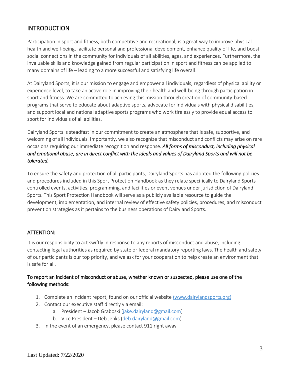# **INTRODUCTION**

Participation in sport and fitness, both competitive and recreational, is a great way to improve physical health and well-being, facilitate personal and professional development, enhance quality of life, and boost social connections in the community for individuals of all abilities, ages, and experiences. Furthermore, the invaluable skills and knowledge gained from regular participation in sport and fitness can be applied to many domains of life – leading to a more successful and satisfying life overall!

At Dairyland Sports, it is our mission to engage and empower all individuals, regardless of physical ability or experience level, to take an active role in improving their health and well-being through participation in sport and fitness. We are committed to achieving this mission through creation of community-based programs that serve to educate about adaptive sports, advocate for individuals with physical disabilities, and support local and national adaptive sports programs who work tirelessly to provide equal access to sport for individuals of all abilities.

Dairyland Sports is steadfast in our commitment to create an atmosphere that is safe, supportive, and welcoming of all individuals. Importantly, we also recognize that misconduct and conflicts may arise on rare occasions requiring our immediate recognition and response. *All forms of misconduct, including physical and emotional abuse, are in direct conflict with the ideals and values of Dairyland Sports and will not be tolerated.* 

To ensure the safety and protection of all participants, Dairyland Sports has adopted the following policies and procedures included in this Sport Protection Handbook as they relate specifically to Dairyland Sports controlled events, activities, programming, and facilities or event venues under jurisdiction of Dairyland Sports. This Sport Protection Handbook will serve as a publicly available resource to guide the development, implementation, and internal review of effective safety policies, procedures, and misconduct prevention strategies as it pertains to the business operations of Dairyland Sports.

#### ATTENTION:

It is our responsibility to act swiftly in response to any reports of misconduct and abuse, including contacting legal authorities as required by state or federal mandatory reporting laws. The health and safety of our participants is our top priority, and we ask for your cooperation to help create an environment that is safe for all.

#### To report an incident of misconduct or abuse, whether known or suspected, please use one of the following methods:

- 1. Complete an incident report, found on our official website [\(www.dairylandsports.org\)](http://(www.dairylandsports.org)/)
- 2. Contact our executive staff directly via email:
	- a. President Jacob Graboski [\(jake.dairyland@gmail.com\)](mailto:jake.dairyland@gmail.com)
	- b. Vice President Deb Jenks [\(deb.dairyland@gmail.com\)](mailto:deb.dairyland@gmail.com)
- 3. In the event of an emergency, please contact 911 right away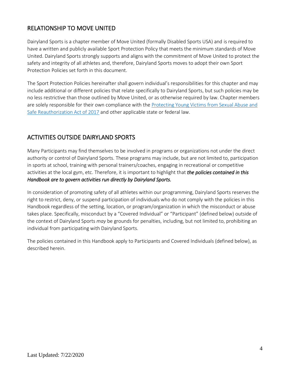# RELATIONSHIP TO MOVE UNITED

Dairyland Sports is a chapter member of Move United (formally Disabled Sports USA) and is required to have a written and publicly available Sport Protection Policy that meets the minimum standards of Move United. Dairyland Sports strongly supports and aligns with the commitment of Move United to protect the safety and integrity of all athletes and, therefore, Dairyland Sports moves to adopt their own Sport Protection Policies set forth in this document.

The Sport Protection Policies hereinafter shall govern individual's responsibilities for this chapter and may include additional or different policies that relate specifically to Dairyland Sports, but such policies may be no less restrictive than those outlined by Move United, or as otherwise required by law. Chapter members are solely responsible for their own compliance with the [Protecting Young Victims from Sexual Abuse and](https://www.congress.gov/bill/115th-congress/senate-bill/534/text)  [Safe Reauthorization Act of 2017](https://www.congress.gov/bill/115th-congress/senate-bill/534/text) and other applicable state or federal law.

# ACTIVITIES OUTSIDE DAIRYLAND SPORTS

Many Participants may find themselves to be involved in programs or organizations not under the direct authority or control of Dairyland Sports. These programs may include, but are not limited to, participation in sports at school, training with personal trainers/coaches, engaging in recreational or competitive activities at the local gym, etc. Therefore, it is important to highlight that *the policies contained in this Handbook are to govern activities run directly by Dairyland Sports.* 

In consideration of promoting safety of all athletes within our programming, Dairyland Sports reserves the right to restrict, deny, or suspend participation of individuals who do not comply with the policies in this Handbook regardless of the setting, location, or program/organization in which the misconduct or abuse takes place. Specifically, misconduct by a "Covered Individual" or "Participant" (defined below) outside of the context of Dairyland Sports *may* be grounds for penalties, including, but not limited to, prohibiting an individual from participating with Dairyland Sports.

The policies contained in this Handbook apply to Participants and Covered Individuals (defined below), as described herein.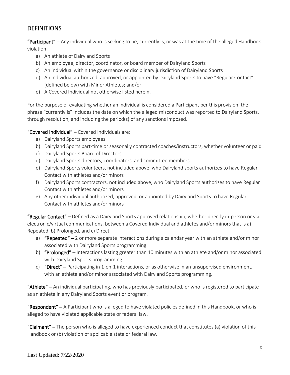# **DEFINITIONS**

"Participant" – Any individual who is seeking to be, currently is, or was at the time of the alleged Handbook violation:

- a) An athlete of Dairyland Sports
- b) An employee, director, coordinator, or board member of Dairyland Sports
- c) An individual within the governance or disciplinary jurisdiction of Dairyland Sports
- d) An individual authorized, approved, or appointed by Dairyland Sports to have "Regular Contact" (defined below) with Minor Athletes; and/or
- e) A Covered Individual not otherwise listed herein.

For the purpose of evaluating whether an individual is considered a Participant per this provision, the phrase "currently is" includes the date on which the alleged misconduct was reported to Dairyland Sports, through resolution, and including the period(s) of any sanctions imposed.

"Covered Individual" – Covered Individuals are:

- a) Dairyland Sports employees
- b) Dairyland Sports part-time or seasonally contracted coaches/instructors, whether volunteer or paid
- c) Dairyland Sports Board of Directors
- d) Dairyland Sports directors, coordinators, and committee members
- e) Dairyland Sports volunteers, not included above, who Dairyland sports authorizes to have Regular Contact with athletes and/or minors
- f) Dairyland Sports contractors, not included above, who Dairyland Sports authorizes to have Regular Contact with athletes and/or minors
- g) Any other individual authorized, approved, or appointed by Dairyland Sports to have Regular Contact with athletes and/or minors

"Regular Contact" – Defined as a Dairyland Sports approved relationship, whether directly in-person or via electronic/virtual communications, between a Covered Individual and athletes and/or minors that is a) Repeated, b) Prolonged, and c) Direct

- a) "Repeated" 2 or more separate interactions during a calendar year with an athlete and/or minor associated with Dairyland Sports programming
- b) "Prolonged" Interactions lasting greater than 10 minutes with an athlete and/or minor associated with Dairyland Sports programming
- c) "Direct" Participating in 1-on-1 interactions, or as otherwise in an unsupervised environment, with an athlete and/or minor associated with Dairyland Sports programming.

"Athlete" – An individual participating, who has previously participated, or who is registered to participate as an athlete in any Dairyland Sports event or program.

"Respondent" – A Participant who is alleged to have violated policies defined in this Handbook, or who is alleged to have violated applicable state or federal law.

"Claimant" – The person who is alleged to have experienced conduct that constitutes (a) violation of this Handbook or (b) violation of applicable state or federal law.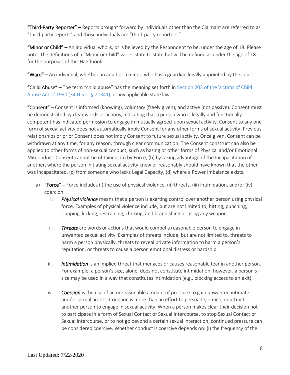"Third-Party Reporter" – Reports brought forward by individuals other than the Claimant are referred to as "third-party reports" and those individuals are "third-party reporters."

"Minor or Child" – An individual who is, or is believed by the Respondent to be, under the age of 18. Please note: The definitions of a "Minor or Child" varies state to state but will be defined as under the age of 18 for the purposes of this Handbook.

"Ward" – An individual, whether an adult or a minor, who has a guardian legally appointed by the court.

"Child Abuse" – The term "child abuse" has the meaning set forth in Section 203 of the Victims of Child [Abuse Act of 1990 \(34 U.S.C. § 20341\)](https://uscode.house.gov/view.xhtml?path=/prelim@title34/subtitle2/chapter203&edition=prelim) or any applicable state law.

"Consent" – Consent is informed (knowing), voluntary (freely given), and active (not passive). Consent must be demonstrated by clear words or actions, indicating that a person who is legally and functionally competent has indicated permission to engage in mutually agreed-upon sexual activity. Consent to any one form of sexual activity does not automatically imply Consent for any other forms of sexual activity. Previous relationships or prior Consent does not imply Consent to future sexual activity. Once given, Consent can be withdrawn at any time, for any reason, through clear communication. The Consent construct can also be applied to other forms of non-sexual conduct, such as hazing or other forms of Physical and/or Emotional Misconduct. Consent cannot be obtained: (a) by Force, (b) by taking advantage of the Incapacitation of another, where the person initiating sexual activity knew or reasonably should have known that the other was Incapacitated, (c) from someone who lacks Legal Capacity, (d) where a Power Imbalance exists.

- a) "Force" Force includes (i) the use of physical violence, (ii) threats, (iii) intimidation, and/or (iv) coercion.
	- i. *Physical violence* means that a person is exerting control over another person using physical force. Examples of physical violence include, but are not limited to, hitting, punching, slapping, kicking, restraining, choking, and brandishing or using any weapon.
	- ii. *Threats* are words or actions that would compel a reasonable person to engage in unwanted sexual activity. Examples of threats include, but are not limited to, threats to harm a person physically, threats to reveal private information to harm a person's reputation, or threats to cause a person emotional distress or hardship.
	- iii. *Intimidation* is an implied threat that menaces or causes reasonable fear in another person. For example, a person's size, alone, does not constitute intimidation; however, a person's size may be used in a way that constitutes intimidation (e.g., blocking access to an exit).
	- iv. *Coercion* is the use of an unreasonable amount of pressure to gain unwanted intimate and/or sexual access. Coercion is more than an effort to persuade, entice, or attract another person to engage in sexual activity. When a person makes clear their decision not to participate in a form of Sexual Contact or Sexual Intercourse, to stop Sexual Contact or Sexual Intercourse, or to not go beyond a certain sexual interaction, continued pressure can be considered coercive. Whether conduct is coercive depends on: (i) the frequency of the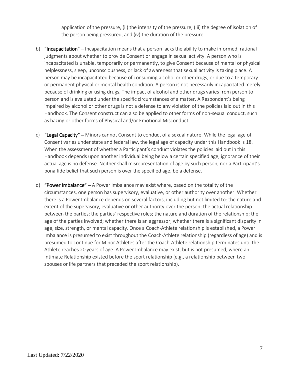application of the pressure, (ii) the intensity of the pressure, (iii) the degree of isolation of the person being pressured, and (iv) the duration of the pressure.

- b) "Incapacitation" Incapacitation means that a person lacks the ability to make informed, rational judgments about whether to provide Consent or engage in sexual activity. A person who is incapacitated is unable, temporarily or permanently, to give Consent because of mental or physical helplessness, sleep, unconsciousness, or lack of awareness that sexual activity is taking place. A person may be incapacitated because of consuming alcohol or other drugs, or due to a temporary or permanent physical or mental health condition. A person is not necessarily incapacitated merely because of drinking or using drugs. The impact of alcohol and other drugs varies from person to person and is evaluated under the specific circumstances of a matter. A Respondent's being impaired by alcohol or other drugs is not a defense to any violation of the policies laid out in this Handbook. The Consent construct can also be applied to other forms of non-sexual conduct, such as hazing or other forms of Physical and/or Emotional Misconduct.
- c) "Legal Capacity" Minors cannot Consent to conduct of a sexual nature. While the legal age of Consent varies under state and federal law, the legal age of capacity under this Handbook is 18. When the assessment of whether a Participant's conduct violates the policies laid out in this Handbook depends upon another individual being below a certain specified age, ignorance of their actual age is no defense. Neither shall misrepresentation of age by such person, nor a Participant's bona fide belief that such person is over the specified age, be a defense.
- d) "Power Imbalance"  $-$  A Power Imbalance may exist where, based on the totality of the circumstances, one person has supervisory, evaluative, or other authority over another. Whether there is a Power Imbalance depends on several factors, including but not limited to: the nature and extent of the supervisory, evaluative or other authority over the person; the actual relationship between the parties; the parties' respective roles; the nature and duration of the relationship; the age of the parties involved; whether there is an aggressor; whether there is a significant disparity in age, size, strength, or mental capacity. Once a Coach-Athlete relationship is established, a Power Imbalance is presumed to exist throughout the Coach-Athlete relationship (regardless of age) and is presumed to continue for Minor Athletes after the Coach-Athlete relationship terminates until the Athlete reaches 20 years of age. A Power Imbalance may exist, but is not presumed, where an Intimate Relationship existed before the sport relationship (e.g., a relationship between two spouses or life partners that preceded the sport relationship).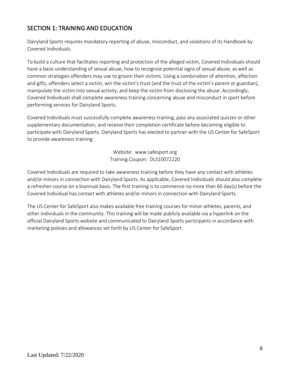# SECTION 1: TRAINING AND EDUCATION

Dairyland Sports requires mandatory reporting of abuse, misconduct, and violations of its Handbook by Covered Individuals.

To build a culture that facilitates reporting and protection of the alleged victim, Covered Individuals should have a basic understanding of sexual abuse, how to recognize potential signs of sexual abuse, as well as common strategies offenders may use to groom their victims. Using a combination of attention, affection and gifts, offenders select a victim, win the victim's trust (and the trust of the victim's parent or guardian), manipulate the victim into sexual activity, and keep the victim from disclosing the abuse. Accordingly, Covered Individuals shall complete awareness training concerning abuse and misconduct in sport before performing services for Dairyland Sports.

Covered Individuals must successfully complete awareness training, pass any associated quizzes or other supplementary documentation, and receive their completion certificate before becoming eligible to participate with Dairyland Sports. Dairyland Sports has elected to partner with the US Center for SafeSport to provide awareness training:

> Website: [www.safesport.org](http://www.safesport.org/) Training Coupon: DLS10072220

Covered Individuals are required to take awareness training before they have any contact with athletes and/or minors in connection with Dairyland Sports. As applicable, Covered Individuals should also complete a refresher course on a biannual basis. The first training is to commence no more than 60 day(s) before the Covered Individual has contact with athletes and/or minors in connection with Dairyland Sports.

The US Center for SafeSport also makes available free training courses for minor athletes, parents, and other individuals in the community. This training will be made publicly available via a hyperlink on the official Dairyland Sports website and communicated to Dairyland Sports participants in accordance with marketing policies and allowances set forth by US Center for SafeSport.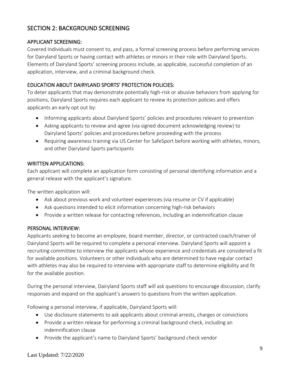# SECTION 2: BACKGROUND SCREENING

## APPLICANT SCREENING:

Covered Individuals must consent to, and pass, a formal screening process before performing services for Dairyland Sports or having contact with athletes or minors in their role with Dairyland Sports. Elements of Dairyland Sports' screening process include, as applicable, successful completion of an application, interview, and a criminal background check.

## EDUCATION ABOUT DAIRYLAND SPORTS' PROTECTION POLICIES:

To deter applicants that may demonstrate potentially high-risk or abusive behaviors from applying for positions, Dairyland Sports requires each applicant to review its protection policies and offers applicants an early opt out by:

- Informing applicants about Dairyland Sports' policies and procedures relevant to prevention
- Asking applicants to review and agree (via signed document acknowledging review) to Dairyland Sports' policies and procedures before proceeding with the process
- Requiring awareness training via US Center for SafeSport before working with athletes, minors, and other Dairyland Sports participants

#### WRITTEN APPLICATIONS:

Each applicant will complete an application form consisting of personal identifying information and a general release with the applicant's signature.

The written application will:

- Ask about previous work and volunteer experiences (via resume or CV if applicable)
- Ask questions intended to elicit information concerning high-risk behaviors
- Provide a written release for contacting references, including an indemnification clause

#### PERSONAL INTERVIEW:

Applicants seeking to become an employee, board member, director, or contracted coach/trainer of Dairyland Sports will be required to complete a personal interview. Dairyland Sports will appoint a recruiting committee to interview the applicants whose experience and credentials are considered a fit for available positions. Volunteers or other individuals who are determined to have regular contact with athletes may also be required to interview with appropriate staff to determine eligibility and fit for the available position.

During the personal interview, Dairyland Sports staff will ask questions to encourage discussion, clarify responses and expand on the applicant's answers to questions from the written application.

Following a personal interview, if applicable, Dairyland Sports will:

- Use disclosure statements to ask applicants about criminal arrests, charges or convictions
- Provide a written release for performing a criminal background check, including an indemnification clause
- Provide the applicant's name to Dairyland Sports' background check vendor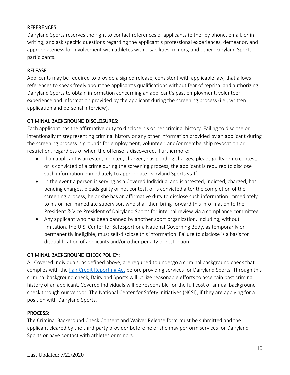## REFERENCES:

Dairyland Sports reserves the right to contact references of applicants (either by phone, email, or in writing) and ask specific questions regarding the applicant's professional experiences, demeanor, and appropriateness for involvement with athletes with disabilities, minors, and other Dairyland Sports participants.

#### RELEASE:

Applicants may be required to provide a signed release, consistent with applicable law, that allows references to speak freely about the applicant's qualifications without fear of reprisal and authorizing Dairyland Sports to obtain information concerning an applicant's past employment, volunteer experience and information provided by the applicant during the screening process (i.e., written application and personal interview).

#### CRIMINAL BACKGROUND DISCLOSURES:

Each applicant has the affirmative duty to disclose his or her criminal history. Failing to disclose or intentionally misrepresenting criminal history or any other information provided by an applicant during the screening process is grounds for employment, volunteer, and/or membership revocation or restriction, regardless of when the offense is discovered. Furthermore:

- If an applicant is arrested, indicted, charged, has pending charges, pleads guilty or no contest, or is convicted of a crime during the screening process, the applicant is required to disclose such information immediately to appropriate Dairyland Sports staff.
- In the event a person is serving as a Covered Individual and is arrested, indicted, charged, has pending charges, pleads guilty or not contest, or is convicted after the completion of the screening process, he or she has an affirmative duty to disclose such information immediately to his or her immediate supervisor, who shall then bring forward this information to the President & Vice President of Dairyland Sports for internal review via a compliance committee.
- Any applicant who has been banned by another sport organization, including, without limitation, the U.S. Center for SafeSport or a National Governing Body, as temporarily or permanently ineligible, must self-disclose this information. Failure to disclose is a basis for disqualification of applicants and/or other penalty or restriction.

## CRIMINAL BACKGROUND CHECK POLICY:

All Covered Individuals, as defined above, are required to undergo a criminal background check that complies with the [Fair Credit Reporting Act](https://www.consumer.ftc.gov/sites/default/files/articles/pdf/pdf-0111-fair-credit-reporting-act.pdf) before providing services for Dairyland Sports. Through this criminal background check, Dairyland Sports will utilize reasonable efforts to ascertain past criminal history of an applicant. Covered Individuals will be responsible for the full cost of annual background check through our vendor, The National Center for Safety Initiatives (NCSI), if they are applying for a position with Dairyland Sports.

#### PROCESS:

The Criminal Background Check Consent and Waiver Release form must be submitted and the applicant cleared by the third-party provider before he or she may perform services for Dairyland Sports or have contact with athletes or minors.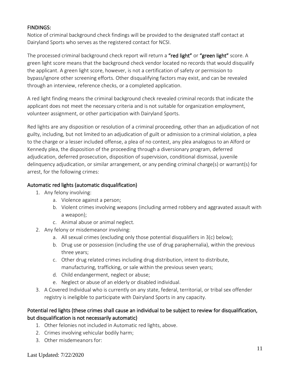#### FINDINGS:

Notice of criminal background check findings will be provided to the designated staff contact at Dairyland Sports who serves as the registered contact for NCSI.

The processed criminal background check report will return a "red light" or "green light" score. A green light score means that the background check vendor located no records that would disqualify the applicant. A green light score, however, is not a certification of safety or permission to bypass/ignore other screening efforts. Other disqualifying factors may exist, and can be revealed through an interview, reference checks, or a completed application.

A red light finding means the criminal background check revealed criminal records that indicate the applicant does not meet the necessary criteria and is not suitable for organization employment, volunteer assignment, or other participation with Dairyland Sports.

Red lights are any disposition or resolution of a criminal proceeding, other than an adjudication of not guilty, including, but not limited to an adjudication of guilt or admission to a criminal violation, a plea to the charge or a lesser included offense, a plea of no contest, any plea analogous to an Alford or Kennedy plea, the disposition of the proceeding through a diversionary program, deferred adjudication, deferred prosecution, disposition of supervision, conditional dismissal, juvenile delinquency adjudication, or similar arrangement, or any pending criminal charge(s) or warrant(s) for arrest, for the following crimes:

#### Automatic red lights (automatic disqualification)

- 1. Any felony involving:
	- a. Violence against a person;
	- b. Violent crimes involving weapons (including armed robbery and aggravated assault with a weapon);
	- c. Animal abuse or animal neglect.
- 2. Any felony or misdemeanor involving:
	- a. All sexual crimes (excluding only those potential disqualifiers in 3(c) below);
	- b. Drug use or possession (including the use of drug paraphernalia), within the previous three years;
	- c. Other drug related crimes including drug distribution, intent to distribute, manufacturing, trafficking, or sale within the previous seven years;
	- d. Child endangerment, neglect or abuse;
	- e. Neglect or abuse of an elderly or disabled individual.
- 3. A Covered Individual who is currently on any state, federal, territorial, or tribal sex offender registry is ineligible to participate with Dairyland Sports in any capacity.

## Potential red lights (these crimes shall cause an individual to be subject to review for disqualification, but disqualification is not necessarily automatic)

- 1. Other felonies not included in Automatic red lights, above.
- 2. Crimes involving vehicular bodily harm;
- 3. Other misdemeanors for: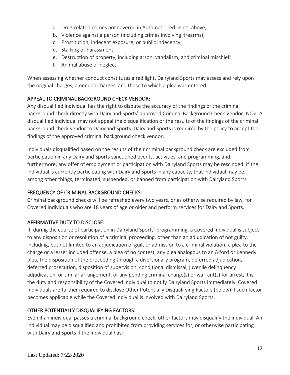- a. Drug-related crimes not covered in Automatic red lights, above;
- b. Violence against a person (including crimes involving firearms);
- c. Prostitution, indecent exposure, or public indecency;
- d. Stalking or harassment;
- e. Destruction of property, including arson, vandalism, and criminal mischief;
- f. Animal abuse or neglect.

When assessing whether conduct constitutes a red light, Dairyland Sports may assess and rely upon the original charges, amended charges, and those to which a plea was entered.

## APPEAL TO CRIMINAL BACKGROUND CHECK VENDOR:

Any disqualified individual has the right to dispute the accuracy of the findings of the criminal background check directly with Dairyland Sports' approved Criminal Background Check Vendor, NCSI. A disqualified individual may not appeal the disqualification or the results of the findings of the criminal background check vendor to Dairyland Sports. Dairyland Sports is required by the policy to accept the findings of the approved criminal background check vendor.

Individuals disqualified based on the results of their criminal background check are excluded from participation in any Dairyland Sports sanctioned events, activities, and programming, and, furthermore, any offer of employment or participation with Dairyland Sports may be rescinded. If the individual is currently participating with Dairyland Sports in any capacity, that individual may be, among other things, terminated, suspended, or banned from participation with Dairyland Sports.

## FREQUENCY OF CRIMINAL BACKGROUND CHECKS:

Criminal background checks will be refreshed every two years, or as otherwise required by law, for Covered Individuals who are 18 years of age or older and perform services for Dairyland Sports.

## AFFIRMATIVE DUTY TO DISCLOSE:

If, during the course of participation in Dairyland Sports' programming, a Covered Individual is subject to any disposition or resolution of a criminal proceeding, other than an adjudication of not guilty, including, but not limited to an adjudication of guilt or admission to a criminal violation, a plea to the charge or a lesser included offense, a plea of no contest, any plea analogous to an Alford or Kennedy plea, the disposition of the proceeding through a diversionary program, deferred adjudication, deferred prosecution, disposition of supervision, conditional dismissal, juvenile delinquency adjudication, or similar arrangement, or any pending criminal charge(s) or warrant(s) for arrest, it is the duty and responsibility of the Covered Individual to notify Dairyland Sports immediately. Covered Individuals are further required to disclose Other Potentially Disqualifying Factors (below) if such factor becomes applicable while the Covered Individual is involved with Dairyland Sports.

## OTHER POTENTIALLY DISQUALIFYING FACTORS:

Even if an individual passes a criminal background check, other factors may disqualify the individual. An individual may be disqualified and prohibited from providing services for, or otherwise participating with Dairyland Sports if the individual has: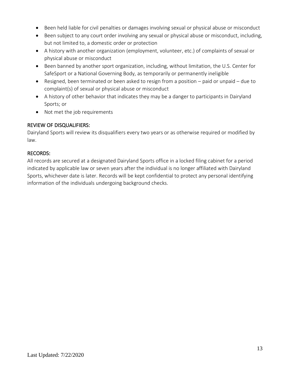- Been held liable for civil penalties or damages involving sexual or physical abuse or misconduct
- Been subject to any court order involving any sexual or physical abuse or misconduct, including, but not limited to, a domestic order or protection
- A history with another organization (employment, volunteer, etc.) of complaints of sexual or physical abuse or misconduct
- Been banned by another sport organization, including, without limitation, the U.S. Center for SafeSport or a National Governing Body, as temporarily or permanently ineligible
- Resigned, been terminated or been asked to resign from a position paid or unpaid due to complaint(s) of sexual or physical abuse or misconduct
- A history of other behavior that indicates they may be a danger to participants in Dairyland Sports; or
- Not met the job requirements

#### REVIEW OF DISQUALIFIERS:

Dairyland Sports will review its disqualifiers every two years or as otherwise required or modified by law.

#### RECORDS:

All records are secured at a designated Dairyland Sports office in a locked filing cabinet for a period indicated by applicable law or seven years after the individual is no longer affiliated with Dairyland Sports, whichever date is later. Records will be kept confidential to protect any personal identifying information of the individuals undergoing background checks.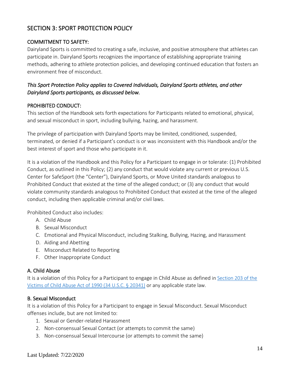# SECTION 3: SPORT PROTECTION POLICY

## COMMITMENT TO SAFETY:

Dairyland Sports is committed to creating a safe, inclusive, and positive atmosphere that athletes can participate in. Dairyland Sports recognizes the importance of establishing appropriate training methods, adhering to athlete protection policies, and developing continued education that fosters an environment free of misconduct.

## *This Sport Protection Policy applies to Covered Individuals, Dairyland Sports athletes, and other Dairyland Sports participants, as discussed below.*

#### PROHIBITED CONDUCT:

This section of the Handbook sets forth expectations for Participants related to emotional, physical, and sexual misconduct in sport, including bullying, hazing, and harassment.

The privilege of participation with Dairyland Sports may be limited, conditioned, suspended, terminated, or denied if a Participant's conduct is or was inconsistent with this Handbook and/or the best interest of sport and those who participate in it.

It is a violation of the Handbook and this Policy for a Participant to engage in or tolerate: (1) Prohibited Conduct, as outlined in this Policy; (2) any conduct that would violate any current or previous U.S. Center for SafeSport (the "Center"), Dairyland Sports, or Move United standards analogous to Prohibited Conduct that existed at the time of the alleged conduct; or (3) any conduct that would violate community standards analogous to Prohibited Conduct that existed at the time of the alleged conduct, including then applicable criminal and/or civil laws.

Prohibited Conduct also includes:

- A. Child Abuse
- B. Sexual Misconduct
- C. Emotional and Physical Misconduct, including Stalking, Bullying, Hazing, and Harassment
- D. Aiding and Abetting
- E. Misconduct Related to Reporting
- F. Other Inappropriate Conduct

#### A. Child Abuse

It is a violation of this Policy for a Participant to engage in Child Abuse as defined i[n Section 203 of the](https://uscode.house.gov/view.xhtml?path=/prelim@title34/subtitle2/chapter203&edition=prelim)  [Victims of Child Abuse Act of 1990 \(34 U.S.C. § 20341\)](https://uscode.house.gov/view.xhtml?path=/prelim@title34/subtitle2/chapter203&edition=prelim) or any applicable state law.

#### B. Sexual Misconduct

It is a violation of this Policy for a Participant to engage in Sexual Misconduct. Sexual Misconduct offenses include, but are not limited to:

- 1. Sexual or Gender-related Harassment
- 2. Non-consensual Sexual Contact (or attempts to commit the same)
- 3. Non-consensual Sexual Intercourse (or attempts to commit the same)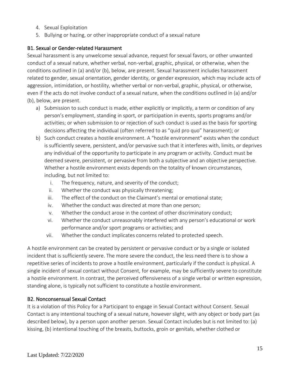- 4. Sexual Exploitation
- 5. Bullying or hazing, or other inappropriate conduct of a sexual nature

#### B1. Sexual or Gender-related Harassment

Sexual harassment is any unwelcome sexual advance, request for sexual favors, or other unwanted conduct of a sexual nature, whether verbal, non-verbal, graphic, physical, or otherwise, when the conditions outlined in (a) and/or (b), below, are present. Sexual harassment includes harassment related to gender, sexual orientation, gender identity, or gender expression, which may include acts of aggression, intimidation, or hostility, whether verbal or non-verbal, graphic, physical, or otherwise, even if the acts do not involve conduct of a sexual nature, when the conditions outlined in (a) and/or (b), below, are present.

- a) Submission to such conduct is made, either explicitly or implicitly, a term or condition of any person's employment, standing in sport, or participation in events, sports programs and/or activities; or when submission to or rejection of such conduct is used as the basis for sporting decisions affecting the individual (often referred to as "quid pro quo" harassment); or
- b) Such conduct creates a hostile environment. A "hostile environment" exists when the conduct is sufficiently severe, persistent, and/or pervasive such that it interferes with, limits, or deprives any individual of the opportunity to participate in any program or activity. Conduct must be deemed severe, persistent, or pervasive from both a subjective and an objective perspective. Whether a hostile environment exists depends on the totality of known circumstances, including, but not limited to:
	- i. The frequency, nature, and severity of the conduct;
	- ii. Whether the conduct was physically threatening;
	- iii. The effect of the conduct on the Claimant's mental or emotional state;
	- iv. Whether the conduct was directed at more than one person;
	- v. Whether the conduct arose in the context of other discriminatory conduct;
	- vi. Whether the conduct unreasonably interfered with any person's educational or work performance and/or sport programs or activities; and
	- vii. Whether the conduct implicates concerns related to protected speech.

A hostile environment can be created by persistent or pervasive conduct or by a single or isolated incident that is sufficiently severe. The more severe the conduct, the less need there is to show a repetitive series of incidents to prove a hostile environment, particularly if the conduct is physical. A single incident of sexual contact without Consent, for example, may be sufficiently severe to constitute a hostile environment. In contrast, the perceived offensiveness of a single verbal or written expression, standing alone, is typically not sufficient to constitute a hostile environment.

## B2. Nonconsensual Sexual Contact

It is a violation of this Policy for a Participant to engage in Sexual Contact without Consent. Sexual Contact is any intentional touching of a sexual nature, however slight, with any object or body part (as described below), by a person upon another person. Sexual Contact includes but is not limited to: (a) kissing, (b) intentional touching of the breasts, buttocks, groin or genitals, whether clothed or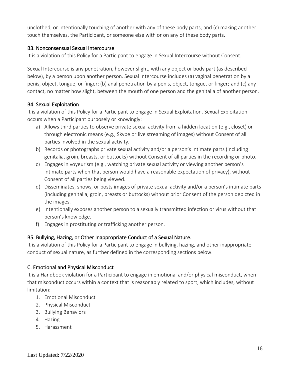unclothed, or intentionally touching of another with any of these body parts; and (c) making another touch themselves, the Participant, or someone else with or on any of these body parts.

#### B3. Nonconsensual Sexual Intercourse

It is a violation of this Policy for a Participant to engage in Sexual Intercourse without Consent.

Sexual Intercourse is any penetration, however slight, with any object or body part (as described below), by a person upon another person. Sexual Intercourse includes (a) vaginal penetration by a penis, object, tongue, or finger; (b) anal penetration by a penis, object, tongue, or finger; and (c) any contact, no matter how slight, between the mouth of one person and the genitalia of another person.

## B4. Sexual Exploitation

It is a violation of this Policy for a Participant to engage in Sexual Exploitation. Sexual Exploitation occurs when a Participant purposely or knowingly:

- a) Allows third parties to observe private sexual activity from a hidden location (e.g., closet) or through electronic means (e.g., Skype or live streaming of images) without Consent of all parties involved in the sexual activity.
- b) Records or photographs private sexual activity and/or a person's intimate parts (including genitalia, groin, breasts, or buttocks) without Consent of all parties in the recording or photo.
- c) Engages in voyeurism (e.g., watching private sexual activity or viewing another person's intimate parts when that person would have a reasonable expectation of privacy), without Consent of all parties being viewed.
- d) Disseminates, shows, or posts images of private sexual activity and/or a person's intimate parts (including genitalia, groin, breasts or buttocks) without prior Consent of the person depicted in the images.
- e) Intentionally exposes another person to a sexually transmitted infection or virus without that person's knowledge.
- f) Engages in prostituting or trafficking another person.

## B5. Bullying, Hazing, or Other Inappropriate Conduct of a Sexual Nature.

It is a violation of this Policy for a Participant to engage in bullying, hazing, and other inappropriate conduct of sexual nature, as further defined in the corresponding sections below.

## C. Emotional and Physical Misconduct

It is a Handbook violation for a Participant to engage in emotional and/or physical misconduct, when that misconduct occurs within a context that is reasonably related to sport, which includes, without limitation:

- 1. Emotional Misconduct
- 2. Physical Misconduct
- 3. Bullying Behaviors
- 4. Hazing
- 5. Harassment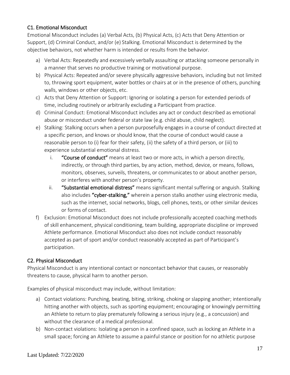## C1. Emotional Misconduct

Emotional Misconduct includes (a) Verbal Acts, (b) Physical Acts, (c) Acts that Deny Attention or Support, (d) Criminal Conduct, and/or (e) Stalking. Emotional Misconduct is determined by the objective behaviors, not whether harm is intended or results from the behavior.

- a) Verbal Acts: Repeatedly and excessively verbally assaulting or attacking someone personally in a manner that serves no productive training or motivational purpose.
- b) Physical Acts: Repeated and/or severe physically aggressive behaviors, including but not limited to, throwing sport equipment, water bottles or chairs at or in the presence of others, punching walls, windows or other objects, etc.
- c) Acts that Deny Attention or Support: Ignoring or isolating a person for extended periods of time, including routinely or arbitrarily excluding a Participant from practice.
- d) Criminal Conduct: Emotional Misconduct includes any act or conduct described as emotional abuse or misconduct under federal or state law (e.g. child abuse, child neglect).
- e) Stalking: Stalking occurs when a person purposefully engages in a course of conduct directed at a specific person, and knows or should know, that the course of conduct would cause a reasonable person to (i) fear for their safety, (ii) the safety of a third person, or (iii) to experience substantial emotional distress.
	- i. "Course of conduct" means at least two or more acts, in which a person directly, indirectly, or through third parties, by any action, method, device, or means, follows, monitors, observes, surveils, threatens, or communicates to or about another person, or interferes with another person's property.
	- ii. "Substantial emotional distress" means significant mental suffering or anguish. Stalking also includes "cyber-stalking," wherein a person stalks another using electronic media, such as the internet, social networks, blogs, cell phones, texts, or other similar devices or forms of contact.
- f) Exclusion: Emotional Misconduct does not include professionally accepted coaching methods of skill enhancement, physical conditioning, team building, appropriate discipline or improved Athlete performance. Emotional Misconduct also does not include conduct reasonably accepted as part of sport and/or conduct reasonably accepted as part of Participant's participation.

## C2. Physical Misconduct

Physical Misconduct is any intentional contact or noncontact behavior that causes, or reasonably threatens to cause, physical harm to another person.

Examples of physical misconduct may include, without limitation:

- a) Contact violations: Punching, beating, biting, striking, choking or slapping another; intentionally hitting another with objects, such as sporting equipment; encouraging or knowingly permitting an Athlete to return to play prematurely following a serious injury (e.g., a concussion) and without the clearance of a medical professional.
- b) Non-contact violations: Isolating a person in a confined space, such as locking an Athlete in a small space; forcing an Athlete to assume a painful stance or position for no athletic purpose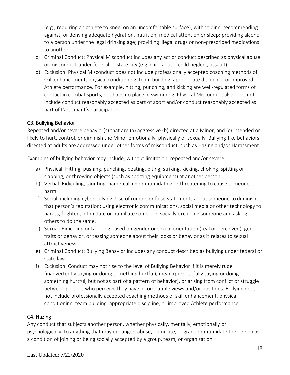(e.g., requiring an athlete to kneel on an uncomfortable surface); withholding, recommending against, or denying adequate hydration, nutrition, medical attention or sleep; providing alcohol to a person under the legal drinking age; providing illegal drugs or non-prescribed medications to another.

- c) Criminal Conduct: Physical Misconduct includes any act or conduct described as physical abuse or misconduct under federal or state law (e.g. child abuse, child neglect, assault).
- d) Exclusion: Physical Misconduct does not include professionally accepted coaching methods of skill enhancement, physical conditioning, team building, appropriate discipline, or improved Athlete performance. For example, hitting, punching, and kicking are well-regulated forms of contact in combat sports, but have no place in swimming. Physical Misconduct also does not include conduct reasonably accepted as part of sport and/or conduct reasonably accepted as part of Participant's participation.

## C3. Bullying Behavior

Repeated and/or severe behavior(s) that are (a) aggressive (b) directed at a Minor, and (c) intended or likely to hurt, control, or diminish the Minor emotionally, physically or sexually. Bullying-like behaviors directed at adults are addressed under other forms of misconduct, such as Hazing and/or Harassment.

Examples of bullying behavior may include, without limitation, repeated and/or severe:

- a) Physical: Hitting, pushing, punching, beating, biting, striking, kicking, choking, spitting or slapping, or throwing objects (such as sporting equipment) at another person.
- b) Verbal: Ridiculing, taunting, name-calling or intimidating or threatening to cause someone harm.
- c) Social, including cyberbullying: Use of rumors or false statements about someone to diminish that person's reputation; using electronic communications, social media or other technology to harass, frighten, intimidate or humiliate someone; socially excluding someone and asking others to do the same.
- d) Sexual: Ridiculing or taunting based on gender or sexual orientation (real or perceived), gender traits or behavior, or teasing someone about their looks or behavior as it relates to sexual attractiveness.
- e) Criminal Conduct: Bullying Behavior includes any conduct described as bullying under federal or state law.
- f) Exclusion: Conduct may not rise to the level of Bullying Behavior if it is merely rude (inadvertently saying or doing something hurtful), mean (purposefully saying or doing something hurtful, but not as part of a pattern of behavior), or arising from conflict or struggle between persons who perceive they have incompatible views and/or positions. Bullying does not include professionally accepted coaching methods of skill enhancement, physical conditioning, team building, appropriate discipline, or improved Athlete performance.

#### C4. Hazing

Any conduct that subjects another person, whether physically, mentally, emotionally or psychologically, to anything that may endanger, abuse, humiliate, degrade or intimidate the person as a condition of joining or being socially accepted by a group, team, or organization.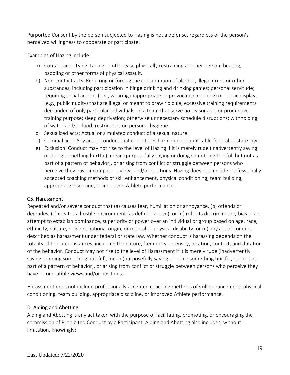Purported Consent by the person subjected to Hazing is not a defense, regardless of the person's perceived willingness to cooperate or participate.

Examples of Hazing include:

- a) Contact acts: Tying, taping or otherwise physically restraining another person; beating, paddling or other forms of physical assault.
- b) Non-contact acts: Requiring or forcing the consumption of alcohol, illegal drugs or other substances, including participation in binge drinking and drinking games; personal servitude; requiring social actions (e.g., wearing inappropriate or provocative clothing) or public displays (e.g., public nudity) that are illegal or meant to draw ridicule; excessive training requirements demanded of only particular individuals on a team that serve no reasonable or productive training purpose; sleep deprivation; otherwise unnecessary schedule disruptions; withholding of water and/or food; restrictions on personal hygiene.
- c) Sexualized acts: Actual or simulated conduct of a sexual nature.
- d) Criminal acts: Any act or conduct that constitutes hazing under applicable federal or state law.
- e) Exclusion: Conduct may not rise to the level of Hazing if it is merely rude (inadvertently saying or doing something hurtful), mean (purposefully saying or doing something hurtful, but not as part of a pattern of behavior), or arising from conflict or struggle between persons who perceive they have incompatible views and/or positions. Hazing does not include professionally accepted coaching methods of skill enhancement, physical conditioning, team building, appropriate discipline, or improved Athlete performance.

## C5. Harassment

Repeated and/or severe conduct that (a) causes fear, humiliation or annoyance, (b) offends or degrades, (c) creates a hostile environment (as defined above), or (d) reflects discriminatory bias in an attempt to establish dominance, superiority or power over an individual or group based on age, race, ethnicity, culture, religion, national origin, or mental or physical disability; or (e) any act or conduct described as harassment under federal or state law. Whether conduct is harassing depends on the totality of the circumstances, including the nature, frequency, intensity, location, context, and duration of the behavior. Conduct may not rise to the level of Harassment if it is merely rude (inadvertently saying or doing something hurtful), mean (purposefully saying or doing something hurtful, but not as part of a pattern of behavior), or arising from conflict or struggle between persons who perceive they have incompatible views and/or positions.

Harassment does not include professionally accepted coaching methods of skill enhancement, physical conditioning, team building, appropriate discipline, or improved Athlete performance.

## D. Aiding and Abetting

Aiding and Abetting is any act taken with the purpose of facilitating, promoting, or encouraging the commission of Prohibited Conduct by a Participant. Aiding and Abetting also includes, without limitation, knowingly: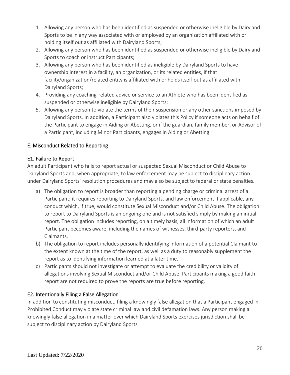- 1. Allowing any person who has been identified as suspended or otherwise ineligible by Dairyland Sports to be in any way associated with or employed by an organization affiliated with or holding itself out as affiliated with Dairyland Sports;
- 2. Allowing any person who has been identified as suspended or otherwise ineligible by Dairyland Sports to coach or instruct Participants;
- 3. Allowing any person who has been identified as ineligible by Dairyland Sports to have ownership interest in a facility, an organization, or its related entities, if that facility/organization/related entity is affiliated with or holds itself out as affiliated with Dairyland Sports;
- 4. Providing any coaching-related advice or service to an Athlete who has been identified as suspended or otherwise ineligible by Dairyland Sports;
- 5. Allowing any person to violate the terms of their suspension or any other sanctions imposed by Dairyland Sports. In addition, a Participant also violates this Policy if someone acts on behalf of the Participant to engage in Aiding or Abetting, or if the guardian, family member, or Advisor of a Participant, including Minor Participants, engages in Aiding or Abetting.

## E. Misconduct Related to Reporting

## E1. Failure to Report

An adult Participant who fails to report actual or suspected Sexual Misconduct or Child Abuse to Dairyland Sports and, when appropriate, to law enforcement may be subject to disciplinary action under Dairyland Sports' resolution procedures and may also be subject to federal or state penalties.

- a) The obligation to report is broader than reporting a pending charge or criminal arrest of a Participant; it requires reporting to Dairyland Sports, and law enforcement if applicable, any conduct which, if true, would constitute Sexual Misconduct and/or Child Abuse. The obligation to report to Dairyland Sports is an ongoing one and is not satisfied simply by making an initial report. The obligation includes reporting, on a timely basis, all information of which an adult Participant becomes aware, including the names of witnesses, third-party reporters, and Claimants.
- b) The obligation to report includes personally identifying information of a potential Claimant to the extent known at the time of the report, as well as a duty to reasonably supplement the report as to identifying information learned at a later time.
- c) Participants should not investigate or attempt to evaluate the credibility or validity of allegations involving Sexual Misconduct and/or Child Abuse. Participants making a good faith report are not required to prove the reports are true before reporting.

## E2. Intentionally Filing a False Allegation

In addition to constituting misconduct, filing a knowingly false allegation that a Participant engaged in Prohibited Conduct may violate state criminal law and civil defamation laws. Any person making a knowingly false allegation in a matter over which Dairyland Sports exercises jurisdiction shall be subject to disciplinary action by Dairyland Sports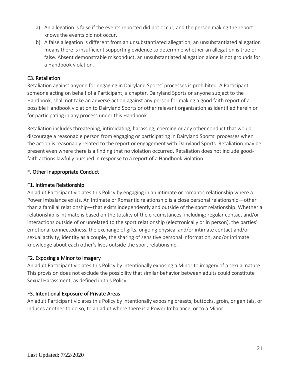- a) An allegation is false if the events reported did not occur, and the person making the report knows the events did not occur.
- b) A false allegation is different from an unsubstantiated allegation; an unsubstantiated allegation means there is insufficient supporting evidence to determine whether an allegation is true or false. Absent demonstrable misconduct, an unsubstantiated allegation alone is not grounds for a Handbook violation.

#### E3. Retaliation

Retaliation against anyone for engaging in Dairyland Sports' processes is prohibited. A Participant, someone acting on behalf of a Participant, a chapter, Dairyland Sports or anyone subject to the Handbook, shall not take an adverse action against any person for making a good faith report of a possible Handbook violation to Dairyland Sports or other relevant organization as identified herein or for participating in any process under this Handbook.

Retaliation includes threatening, intimidating, harassing, coercing or any other conduct that would discourage a reasonable person from engaging or participating in Dairyland Sports' processes when the action is reasonably related to the report or engagement with Dairyland Sports. Retaliation may be present even where there is a finding that no violation occurred. Retaliation does not include goodfaith actions lawfully pursued in response to a report of a Handbook violation.

## F. Other Inappropriate Conduct

#### F1. Intimate Relationship

An adult Participant violates this Policy by engaging in an intimate or romantic relationship where a Power Imbalance exists. An Intimate or Romantic relationship is a close personal relationship—other than a familial relationship—that exists independently and outside of the sport relationship. Whether a relationship is intimate is based on the totality of the circumstances, including: regular contact and/or interactions outside of or unrelated to the sport relationship (electronically or in person), the parties' emotional connectedness, the exchange of gifts, ongoing physical and/or intimate contact and/or sexual activity, identity as a couple, the sharing of sensitive personal information, and/or intimate knowledge about each other's lives outside the sport relationship.

#### F2. Exposing a Minor to Imagery

An adult Participant violates this Policy by intentionally exposing a Minor to imagery of a sexual nature. This provision does not exclude the possibility that similar behavior between adults could constitute Sexual Harassment, as defined in this Policy.

#### F3. Intentional Exposure of Private Areas

An adult Participant violates this Policy by intentionally exposing breasts, buttocks, groin, or genitals, or induces another to do so, to an adult where there is a Power Imbalance, or to a Minor.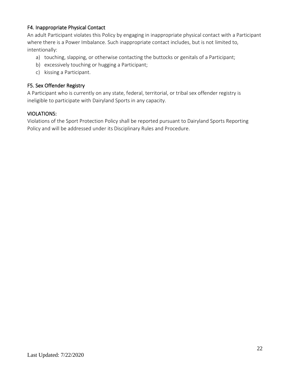## F4. Inappropriate Physical Contact

An adult Participant violates this Policy by engaging in inappropriate physical contact with a Participant where there is a Power Imbalance. Such inappropriate contact includes, but is not limited to, intentionally:

- a) touching, slapping, or otherwise contacting the buttocks or genitals of a Participant;
- b) excessively touching or hugging a Participant;
- c) kissing a Participant.

#### F5. Sex Offender Registry

A Participant who is currently on any state, federal, territorial, or tribal sex offender registry is ineligible to participate with Dairyland Sports in any capacity.

#### VIOLATIONS:

Violations of the Sport Protection Policy shall be reported pursuant to Dairyland Sports Reporting Policy and will be addressed under its Disciplinary Rules and Procedure.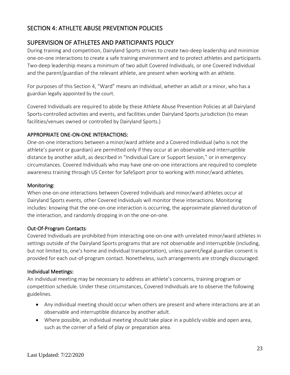# SECTION 4: ATHLETE ABUSE PREVENTION POLICIES

# SUPERVISION OF ATHLETES AND PARTICIPANTS POLICY

During training and competition, Dairyland Sports strives to create two-deep leadership and minimize one-on-one interactions to create a safe training environment and to protect athletes and participants. Two-deep leadership means a minimum of two adult Covered Individuals, or one Covered Individual and the parent/guardian of the relevant athlete, are present when working with an athlete.

For purposes of this Section 4, "Ward" means an individual, whether an adult or a minor, who has a guardian legally appointed by the court.

Covered Individuals are required to abide by these Athlete Abuse Prevention Policies at all Dairyland Sports-controlled activities and events, and facilities under Dairyland Sports jurisdiction (to mean facilities/venues owned or controlled by Dairyland Sports.)

#### APPROPRIATE ONE-ON-ONE INTERACTIONS:

One-on-one interactions between a minor/ward athlete and a Covered Individual (who is not the athlete's parent or guardian) are permitted only if they occur at an observable and interruptible distance by another adult, as described in "Individual Care or Support Session," or in emergency circumstances. Covered Individuals who may have one-on-one interactions are required to complete awareness training through US Center for SafeSport prior to working with minor/ward athletes.

#### Monitoring:

When one-on-one interactions between Covered Individuals and minor/ward athletes occur at Dairyland Sports events, other Covered Individuals will monitor these interactions. Monitoring includes: knowing that the one-on-one interaction is occurring, the approximate planned duration of the interaction, and randomly dropping in on the one-on-one.

#### Out-Of-Program Contacts:

Covered Individuals are prohibited from interacting one-on-one with unrelated minor/ward athletes in settings outside of the Dairyland Sports programs that are not observable and interruptible (including, but not limited to, one's home and individual transportation), unless parent/legal guardian consent is provided for each out-of-program contact. Nonetheless, such arrangements are strongly discouraged.

#### Individual Meetings:

An individual meeting may be necessary to address an athlete's concerns, training program or competition schedule. Under these circumstances, Covered Individuals are to observe the following guidelines.

- Any individual meeting should occur when others are present and where interactions are at an observable and interruptible distance by another adult.
- Where possible, an individual meeting should take place in a publicly visible and open area, such as the corner of a field of play or preparation area.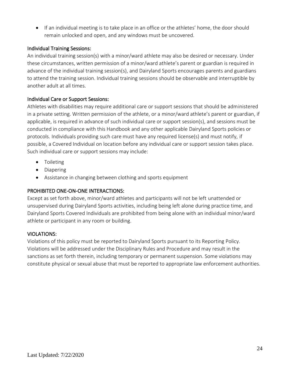• If an individual meeting is to take place in an office or the athletes' home, the door should remain unlocked and open, and any windows must be uncovered.

#### Individual Training Sessions:

An individual training session(s) with a minor/ward athlete may also be desired or necessary. Under these circumstances, written permission of a minor/ward athlete's parent or guardian is required in advance of the individual training session(s), and Dairyland Sports encourages parents and guardians to attend the training session. Individual training sessions should be observable and interruptible by another adult at all times.

## Individual Care or Support Sessions:

Athletes with disabilities may require additional care or support sessions that should be administered in a private setting. Written permission of the athlete, or a minor/ward athlete's parent or guardian, if applicable, is required in advance of such individual care or support session(s), and sessions must be conducted in compliance with this Handbook and any other applicable Dairyland Sports policies or protocols. Individuals providing such care must have any required license(s) and must notify, if possible, a Covered Individual on location before any individual care or support session takes place. Such individual care or support sessions may include:

- Toileting
- Diapering
- Assistance in changing between clothing and sports equipment

## PROHIBITED ONE-ON-ONE INTERACTIONS:

Except as set forth above, minor/ward athletes and participants will not be left unattended or unsupervised during Dairyland Sports activities, including being left alone during practice time, and Dairyland Sports Covered Individuals are prohibited from being alone with an individual minor/ward athlete or participant in any room or building.

## VIOLATIONS:

Violations of this policy must be reported to Dairyland Sports pursuant to its Reporting Policy. Violations will be addressed under the Disciplinary Rules and Procedure and may result in the sanctions as set forth therein, including temporary or permanent suspension. Some violations may constitute physical or sexual abuse that must be reported to appropriate law enforcement authorities.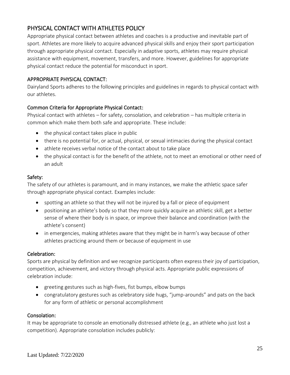# PHYSICAL CONTACT WITH ATHLETES POLICY

Appropriate physical contact between athletes and coaches is a productive and inevitable part of sport. Athletes are more likely to acquire advanced physical skills and enjoy their sport participation through appropriate physical contact. Especially in adaptive sports, athletes may require physical assistance with equipment, movement, transfers, and more. However, guidelines for appropriate physical contact reduce the potential for misconduct in sport.

## APPROPRIATE PHYSICAL CONTACT:

Dairyland Sports adheres to the following principles and guidelines in regards to physical contact with our athletes.

## Common Criteria for Appropriate Physical Contact:

Physical contact with athletes – for safety, consolation, and celebration – has multiple criteria in common which make them both safe and appropriate. These include:

- the physical contact takes place in public
- there is no potential for, or actual, physical, or sexual intimacies during the physical contact
- athlete receives verbal notice of the contact about to take place
- the physical contact is for the benefit of the athlete, not to meet an emotional or other need of an adult

## Safety:

The safety of our athletes is paramount, and in many instances, we make the athletic space safer through appropriate physical contact. Examples include:

- spotting an athlete so that they will not be injured by a fall or piece of equipment
- positioning an athlete's body so that they more quickly acquire an athletic skill, get a better sense of where their body is in space, or improve their balance and coordination (with the athlete's consent)
- in emergencies, making athletes aware that they might be in harm's way because of other athletes practicing around them or because of equipment in use

## Celebration:

Sports are physical by definition and we recognize participants often express their joy of participation, competition, achievement, and victory through physical acts. Appropriate public expressions of celebration include:

- greeting gestures such as high-fives, fist bumps, elbow bumps
- congratulatory gestures such as celebratory side hugs, "jump-arounds" and pats on the back for any form of athletic or personal accomplishment

## Consolation:

It may be appropriate to console an emotionally distressed athlete (e.g., an athlete who just lost a competition). Appropriate consolation includes publicly: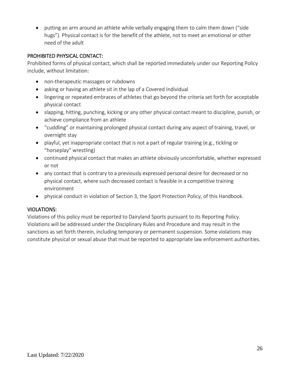• putting an arm around an athlete while verbally engaging them to calm them down ("side hugs"). Physical contact is for the benefit of the athlete, not to meet an emotional or other need of the adult

#### PROHIBITED PHYSICAL CONTACT:

Prohibited forms of physical contact, which shall be reported immediately under our Reporting Policy include, without limitation:

- non-therapeutic massages or rubdowns
- asking or having an athlete sit in the lap of a Covered Individual
- lingering or repeated embraces of athletes that go beyond the criteria set forth for acceptable physical contact
- slapping, hitting, punching, kicking or any other physical contact meant to discipline, punish, or achieve compliance from an athlete
- "cuddling" or maintaining prolonged physical contact during any aspect of training, travel, or overnight stay
- playful, yet inappropriate contact that is not a part of regular training (e.g., tickling or "horseplay" wrestling)
- continued physical contact that makes an athlete obviously uncomfortable, whether expressed or not
- any contact that is contrary to a previously expressed personal desire for decreased or no physical contact, where such decreased contact is feasible in a competitive training environment
- physical conduct in violation of Section 3, the Sport Protection Policy, of this Handbook.

## VIOLATIONS:

Violations of this policy must be reported to Dairyland Sports pursuant to its Reporting Policy. Violations will be addressed under the Disciplinary Rules and Procedure and may result in the sanctions as set forth therein, including temporary or permanent suspension. Some violations may constitute physical or sexual abuse that must be reported to appropriate law enforcement authorities.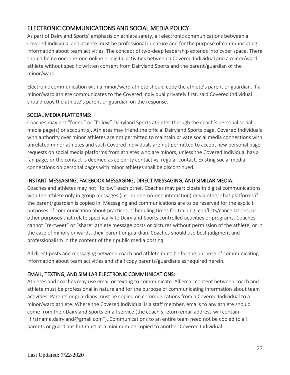# ELECTRONIC COMMUNICATIONS AND SOCIAL MEDIA POLICY

As part of Dairyland Sports' emphasis on athlete safety, all electronic communications between a Covered Individual and athlete must be professional in nature and for the purpose of communicating information about team activities. The concept of two-deep leadership extends into cyber space. There should be no one-one-one online or digital activities between a Covered Individual and a minor/ward athlete without specific written consent from Dairyland Sports and the parent/guardian of the minor/ward.

Electronic communication with a minor/ward athlete should copy the athlete's parent or guardian. If a minor/ward athlete communicates to the Covered Individual privately first, said Covered Individual should copy the athlete's parent or guardian on the response.

#### SOCIAL MEDIA PLATFORMS:

Coaches may not "friend" or "follow" Dairyland Sports athletes through the coach's personal social media page(s) or account(s). Athletes may friend the official Dairyland Sports page. Covered Individuals with authority over minor athletes are not permitted to maintain private social media connections with unrelated minor athletes and such Covered Individuals are not permitted to accept new personal page requests on social media platforms from athletes who are minors, unless the Covered Individual has a fan page, or the contact is deemed as celebrity contact vs. regular contact. Existing social media connections on personal pages with minor athletes shall be discontinued.

#### INSTANT MESSAGING, FACEBOOK MESSAGING, DIRECT MESSAGING, AND SIMILAR MEDIA:

Coaches and athletes may not "follow" each other. Coaches may participate in digital communications with the athlete only in group messages (i.e. no one-on-one interaction) or via other chat platforms if the parent/guardian is copied in. Messaging and communications are to be reserved for the explicit purposes of communication about practices, scheduling times for training, conflicts/cancellations, or other purposes that relate specifically to Dairyland Sports controlled activities or programs. Coaches cannot "re-tweet" or "share" athlete message posts or pictures without permission of the athlete, or in the case of minors or wards, their parent or guardian. Coaches should use best judgment and professionalism in the content of their public media posting.

All direct posts and messaging between coach and athlete must be for the purpose of communicating information about team activities and shall copy parents/guardians as required herein.

## EMAIL, TEXTING, AND SIMILAR ELECTRONIC COMMUNICATIONS:

Athletes and coaches may use email or texting to communicate. All email content between coach and athlete must be professional in nature and for the purpose of communicating information about team activities. Parents or guardians must be copied on communications from a Covered Individual to a minor/ward athlete. Where the Covered Individual is a staff member, emails to any athlete should come from their Dairyland Sports email service (the coach's return email address will contain "firstname.dairyland@gmail.com"). Communications to an entire team need not be copied to all parents or guardians but must at a minimum be copied to another Covered Individual.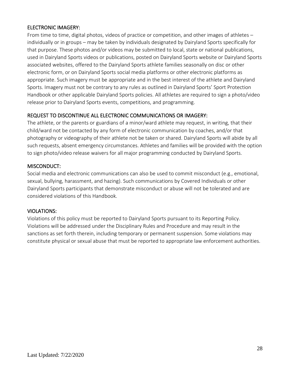#### ELECTRONIC IMAGERY:

From time to time, digital photos, videos of practice or competition, and other images of athletes – individually or in groups – may be taken by individuals designated by Dairyland Sports specifically for that purpose. These photos and/or videos may be submitted to local, state or national publications, used in Dairyland Sports videos or publications, posted on Dairyland Sports website or Dairyland Sports associated websites, offered to the Dairyland Sports athlete families seasonally on disc or other electronic form, or on Dairyland Sports social media platforms or other electronic platforms as appropriate. Such imagery must be appropriate and in the best interest of the athlete and Dairyland Sports. Imagery must not be contrary to any rules as outlined in Dairyland Sports' Sport Protection Handbook or other applicable Dairyland Sports policies. All athletes are required to sign a photo/video release prior to Dairyland Sports events, competitions, and programming.

## REQUEST TO DISCONTINUE ALL ELECTRONIC COMMUNICATIONS OR IMAGERY:

The athlete, or the parents or guardians of a minor/ward athlete may request, in writing, that their child/ward not be contacted by any form of electronic communication by coaches, and/or that photography or videography of their athlete not be taken or shared. Dairyland Sports will abide by all such requests, absent emergency circumstances. Athletes and families will be provided with the option to sign photo/video release waivers for all major programming conducted by Dairyland Sports.

#### MISCONDUCT:

Social media and electronic communications can also be used to commit misconduct (e.g., emotional, sexual, bullying, harassment, and hazing). Such communications by Covered Individuals or other Dairyland Sports participants that demonstrate misconduct or abuse will not be tolerated and are considered violations of this Handbook.

#### VIOLATIONS:

Violations of this policy must be reported to Dairyland Sports pursuant to its Reporting Policy. Violations will be addressed under the Disciplinary Rules and Procedure and may result in the sanctions as set forth therein, including temporary or permanent suspension. Some violations may constitute physical or sexual abuse that must be reported to appropriate law enforcement authorities.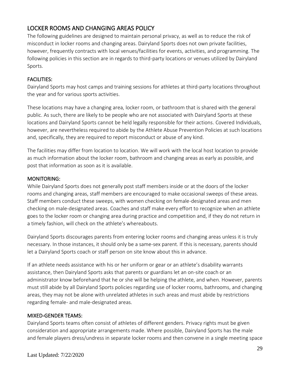# LOCKER ROOMS AND CHANGING AREAS POLICY

The following guidelines are designed to maintain personal privacy, as well as to reduce the risk of misconduct in locker rooms and changing areas. Dairyland Sports does not own private facilities, however, frequently contracts with local venues/facilities for events, activities, and programming. The following policies in this section are in regards to third-party locations or venues utilized by Dairyland Sports.

## FACILITIES:

Dairyland Sports may host camps and training sessions for athletes at third-party locations throughout the year and for various sports activities.

These locations may have a changing area, locker room, or bathroom that is shared with the general public. As such, there are likely to be people who are not associated with Dairyland Sports at these locations and Dairyland Sports cannot be held legally responsible for their actions. Covered Individuals, however, are nevertheless required to abide by the Athlete Abuse Prevention Policies at such locations and, specifically, they are required to report misconduct or abuse of any kind.

The facilities may differ from location to location. We will work with the local host location to provide as much information about the locker room, bathroom and changing areas as early as possible, and post that information as soon as it is available.

#### MONITORING:

While Dairyland Sports does not generally post staff members inside or at the doors of the locker rooms and changing areas, staff members are encouraged to make occasional sweeps of these areas. Staff members conduct these sweeps, with women checking on female-designated areas and men checking on male-designated areas. Coaches and staff make every effort to recognize when an athlete goes to the locker room or changing area during practice and competition and, if they do not return in a timely fashion, will check on the athlete's whereabouts.

Dairyland Sports discourages parents from entering locker rooms and changing areas unless it is truly necessary. In those instances, it should only be a same-sex parent. If this is necessary, parents should let a Dairyland Sports coach or staff person on site know about this in advance.

If an athlete needs assistance with his or her uniform or gear or an athlete's disability warrants assistance, then Dairyland Sports asks that parents or guardians let an on-site coach or an administrator know beforehand that he or she will be helping the athlete, and when. However, parents must still abide by all Dairyland Sports policies regarding use of locker rooms, bathrooms, and changing areas, they may not be alone with unrelated athletes in such areas and must abide by restrictions regarding female- and male-designated areas.

## MIXED-GENDER TEAMS:

Dairyland Sports teams often consist of athletes of different genders. Privacy rights must be given consideration and appropriate arrangements made. Where possible, Dairyland Sports has the male and female players dress/undress in separate locker rooms and then convene in a single meeting space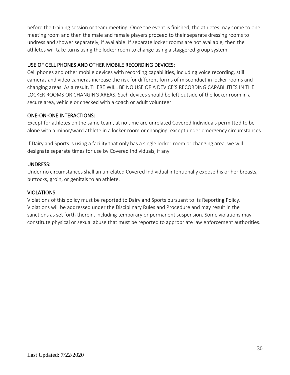before the training session or team meeting. Once the event is finished, the athletes may come to one meeting room and then the male and female players proceed to their separate dressing rooms to undress and shower separately, if available. If separate locker rooms are not available, then the athletes will take turns using the locker room to change using a staggered group system.

## USE OF CELL PHONES AND OTHER MOBILE RECORDING DEVICES:

Cell phones and other mobile devices with recording capabilities, including voice recording, still cameras and video cameras increase the risk for different forms of misconduct in locker rooms and changing areas. As a result, THERE WILL BE NO USE OF A DEVICE'S RECORDING CAPABILITIES IN THE LOCKER ROOMS OR CHANGING AREAS. Such devices should be left outside of the locker room in a secure area, vehicle or checked with a coach or adult volunteer.

## ONE-ON-ONE INTERACTIONS:

Except for athletes on the same team, at no time are unrelated Covered Individuals permitted to be alone with a minor/ward athlete in a locker room or changing, except under emergency circumstances.

If Dairyland Sports is using a facility that only has a single locker room or changing area, we will designate separate times for use by Covered Individuals, if any.

## UNDRESS:

Under no circumstances shall an unrelated Covered Individual intentionally expose his or her breasts, buttocks, groin, or genitals to an athlete.

## VIOLATIONS:

Violations of this policy must be reported to Dairyland Sports pursuant to its Reporting Policy. Violations will be addressed under the Disciplinary Rules and Procedure and may result in the sanctions as set forth therein, including temporary or permanent suspension. Some violations may constitute physical or sexual abuse that must be reported to appropriate law enforcement authorities.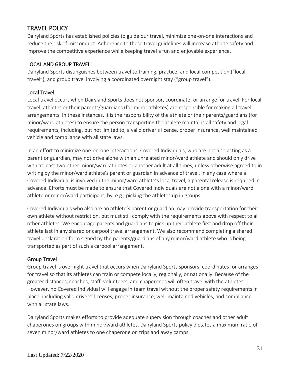# TRAVEL POLICY

Dairyland Sports has established policies to guide our travel, minimize one-on-one interactions and reduce the risk of misconduct. Adherence to these travel guidelines will increase athlete safety and improve the competitive experience while keeping travel a fun and enjoyable experience.

## LOCAL AND GROUP TRAVEL:

Dairyland Sports distinguishes between travel to training, practice, and local competition ("local travel"), and group travel involving a coordinated overnight stay ("group travel").

## Local Travel:

Local travel occurs when Dairyland Sports does not sponsor, coordinate, or arrange for travel. For local travel, athletes or their parents/guardians (for minor athletes) are responsible for making all travel arrangements. In these instances, it is the responsibility of the athlete or their parents/guardians (for minor/ward athletes) to ensure the person transporting the athlete maintains all safety and legal requirements, including, but not limited to, a valid driver's license, proper insurance, well maintained vehicle and compliance with all state laws.

In an effort to minimize one-on-one interactions, Covered Individuals, who are not also acting as a parent or guardian, may not drive alone with an unrelated minor/ward athlete and should only drive with at least two other minor/ward athletes or another adult at all times, unless otherwise agreed to in writing by the minor/ward athlete's parent or guardian in advance of travel. In any case where a Covered Individual is involved in the minor/ward athlete's local travel, a parental release is required in advance. Efforts must be made to ensure that Covered Individuals are not alone with a minor/ward athlete or minor/ward participant, by, e.g., picking the athletes up in groups.

Covered Individuals who also are an athlete's parent or guardian may provide transportation for their own athlete without restriction, but must still comply with the requirements above with respect to all other athletes. We encourage parents and guardians to pick up their athlete first and drop off their athlete last in any shared or carpool travel arrangement. We also recommend completing a shared travel declaration form signed by the parents/guardians of any minor/ward athlete who is being transported as part of such a carpool arrangement.

## Group Travel

Group travel is overnight travel that occurs when Dairyland Sports sponsors, coordinates, or arranges for travel so that its athletes can train or compete locally, regionally, or nationally. Because of the greater distances, coaches, staff, volunteers, and chaperones will often travel with the athletes. However, no Covered Individual will engage in team travel without the proper safety requirements in place, including valid drivers' licenses, proper insurance, well-maintained vehicles, and compliance with all state laws.

Dairyland Sports makes efforts to provide adequate supervision through coaches and other adult chaperones on groups with minor/ward athletes. Dairyland Sports policy dictates a maximum ratio of seven minor/ward athletes to one chaperone on trips and away camps.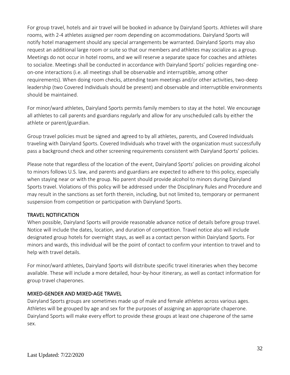For group travel, hotels and air travel will be booked in advance by Dairyland Sports. Athletes will share rooms, with 2-4 athletes assigned per room depending on accommodations. Dairyland Sports will notify hotel management should any special arrangements be warranted. Dairyland Sports may also request an additional large room or suite so that our members and athletes may socialize as a group. Meetings do not occur in hotel rooms, and we will reserve a separate space for coaches and athletes to socialize. Meetings shall be conducted in accordance with Dairyland Sports' policies regarding oneon-one interactions (i.e. all meetings shall be observable and interruptible, among other requirements). When doing room checks, attending team meetings and/or other activities, two-deep leadership (two Covered Individuals should be present) and observable and interruptible environments should be maintained.

For minor/ward athletes, Dairyland Sports permits family members to stay at the hotel. We encourage all athletes to call parents and guardians regularly and allow for any unscheduled calls by either the athlete or parent/guardian.

Group travel policies must be signed and agreed to by all athletes, parents, and Covered Individuals traveling with Dairyland Sports. Covered Individuals who travel with the organization must successfully pass a background check and other screening requirements consistent with Dairyland Sports' policies.

Please note that regardless of the location of the event, Dairyland Sports' policies on providing alcohol to minors follows U.S. law, and parents and guardians are expected to adhere to this policy, especially when staying near or with the group. No parent should provide alcohol to minors during Dairyland Sports travel. Violations of this policy will be addressed under the Disciplinary Rules and Procedure and may result in the sanctions as set forth therein, including, but not limited to, temporary or permanent suspension from competition or participation with Dairyland Sports.

#### TRAVEL NOTIFICATION

When possible, Dairyland Sports will provide reasonable advance notice of details before group travel. Notice will include the dates, location, and duration of competition. Travel notice also will include designated group hotels for overnight stays, as well as a contact person within Dairyland Sports. For minors and wards, this individual will be the point of contact to confirm your intention to travel and to help with travel details.

For minor/ward athletes, Dairyland Sports will distribute specific travel itineraries when they become available. These will include a more detailed, hour-by-hour itinerary, as well as contact information for group travel chaperones.

#### MIXED-GENDER AND MIXED-AGE TRAVEL

Dairyland Sports groups are sometimes made up of male and female athletes across various ages. Athletes will be grouped by age and sex for the purposes of assigning an appropriate chaperone. Dairyland Sports will make every effort to provide these groups at least one chaperone of the same sex.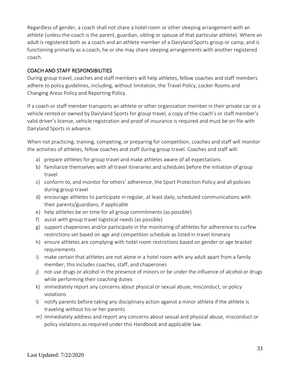Regardless of gender, a coach shall not share a hotel room or other sleeping arrangement with an athlete (unless the coach is the parent, guardian, sibling or spouse of that particular athlete). Where an adult is registered both as a coach and an athlete member of a Dairyland Sports group or camp, and is functioning primarily as a coach, he or she may share sleeping arrangements with another registered coach.

#### COACH AND STAFF RESPONSIBILITIES

During group travel, coaches and staff members will help athletes, fellow coaches and staff members adhere to policy guidelines, including, without limitation, the Travel Policy, Locker Rooms and Changing Areas Policy and Reporting Policy.

If a coach or staff member transports an athlete or other organization member in their private car or a vehicle rented or owned by Dairyland Sports for group travel, a copy of the coach's or staff member's valid driver's license, vehicle registration and proof of insurance is required and must be on file with Dairyland Sports in advance.

When not practicing, training, competing, or preparing for competition, coaches and staff will monitor the activities of athletes, fellow coaches and staff during group travel. Coaches and staff will:

- a) prepare athletes for group travel and make athletes aware of all expectations.
- b) familiarize themselves with all travel itineraries and schedules before the initiation of group travel
- c) conform to, and monitor for others' adherence, the Sport Protection Policy and all policies during group travel
- d) encourage athletes to participate in regular, at least daily, scheduled communications with their parents/guardians, if applicable
- e) help athletes be on time for all group commitments (as possible)
- f) assist with group travel logistical needs (as possible)
- g) support chaperones and/or participate in the monitoring of athletes for adherence to curfew restrictions set based on age and competition schedule as listed in travel itinerary
- h) ensure athletes are complying with hotel room restrictions based on gender or age bracket requirements
- i) make certain that athletes are not alone in a hotel room with any adult apart from a family member; this includes coaches, staff, and chaperones
- j) not use drugs or alcohol in the presence of minors or be under the influence of alcohol or drugs while performing their coaching duties
- k) immediately report any concerns about physical or sexual abuse, misconduct, or policy violations
- l) notify parents before taking any disciplinary action against a minor athlete if the athlete is traveling without his or her parents
- m) immediately address and report any concerns about sexual and physical abuse, misconduct or policy violations as required under this Handbook and applicable law.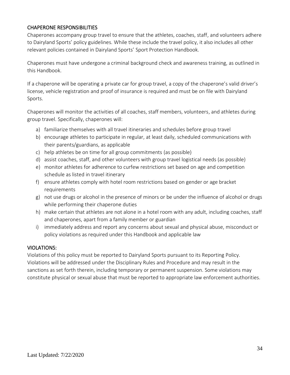#### CHAPERONE RESPONSIBILITIES

Chaperones accompany group travel to ensure that the athletes, coaches, staff, and volunteers adhere to Dairyland Sports' policy guidelines. While these include the travel policy, it also includes all other relevant policies contained in Dairyland Sports' Sport Protection Handbook.

Chaperones must have undergone a criminal background check and awareness training, as outlined in this Handbook.

If a chaperone will be operating a private car for group travel, a copy of the chaperone's valid driver's license, vehicle registration and proof of insurance is required and must be on file with Dairyland Sports.

Chaperones will monitor the activities of all coaches, staff members, volunteers, and athletes during group travel. Specifically, chaperones will:

- a) familiarize themselves with all travel itineraries and schedules before group travel
- b) encourage athletes to participate in regular, at least daily, scheduled communications with their parents/guardians, as applicable
- c) help athletes be on time for all group commitments (as possible)
- d) assist coaches, staff, and other volunteers with group travel logistical needs (as possible)
- e) monitor athletes for adherence to curfew restrictions set based on age and competition schedule as listed in travel itinerary
- f) ensure athletes comply with hotel room restrictions based on gender or age bracket requirements
- g) not use drugs or alcohol in the presence of minors or be under the influence of alcohol or drugs while performing their chaperone duties
- h) make certain that athletes are not alone in a hotel room with any adult, including coaches, staff and chaperones, apart from a family member or guardian
- i) immediately address and report any concerns about sexual and physical abuse, misconduct or policy violations as required under this Handbook and applicable law

#### VIOLATIONS:

Violations of this policy must be reported to Dairyland Sports pursuant to its Reporting Policy. Violations will be addressed under the Disciplinary Rules and Procedure and may result in the sanctions as set forth therein, including temporary or permanent suspension. Some violations may constitute physical or sexual abuse that must be reported to appropriate law enforcement authorities.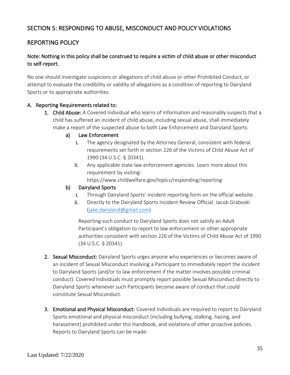# SECTION 5: RESPONDING TO ABUSE, MISCONDUCT AND POLICY VIOLATIONS

## REPORTING POLICY

## Note: Nothing in this policy shall be construed to require a victim of child abuse or other misconduct to self-report.

No one should investigate suspicions or allegations of child abuse or other Prohibited Conduct, or attempt to evaluate the credibility or validity of allegations as a condition of reporting to Dairyland Sports or to appropriate authorities.

#### A. Reporting Requirements related to:

- 1. Child Abuse: A Covered Individual who learns of information and reasonably suspects that a child has suffered an incident of child abuse, including sexual abuse, shall immediately make a report of the suspected abuse to both Law Enforcement and Dairyland Sports:
	- a) Law Enforcement
		- i. The agency designated by the Attorney General, consistent with federal requirements set forth in section 226 of the Victims of Child Abuse Act of 1990 (34 U.S.C. § 20341).
		- ii. Any applicable state law enforcement agencies. Learn more about this requirement by visiting: https://www.childwelfare.gov/topics/responding/reporting
			-

## b) Dairyland Sports

- i. Through Dairyland Sports' incident reporting form on the official website
- ii. Directly to the Dairyland Sports Incident Review Official: Jacob Graboski [\(jake.dairyland@gmail.com\)](mailto:jake.dairyland@gmail.com)

Reporting such conduct to Dairyland Sports does not satisfy an Adult Participant's obligation to report to law enforcement or other appropriate authorities consistent with section 226 of the Victims of Child Abuse Act of 1990 (34 U.S.C. § 20341).

- 2. Sexual Misconduct: Dairyland Sports urges anyone who experiences or becomes aware of an incident of Sexual Misconduct involving a Participant to immediately report the incident to Dairyland Sports (and/or to law enforcement if the matter involves possible criminal conduct). Covered Individuals must promptly report possible Sexual Misconduct directly to Dairyland Sports whenever such Participants become aware of conduct that could constitute Sexual Misconduct.
- 3. Emotional and Physical Misconduct: Covered Individuals are required to report to Dairyland Sports emotional and physical misconduct (including bullying, stalking, hazing, and harassment) prohibited under this Handbook, and violations of other proactive policies. Reports to Dairyland Sports can be made: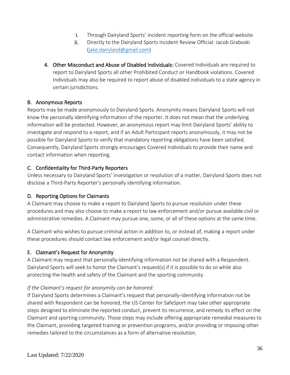- i. Through Dairyland Sports' incident reporting form on the official website
- ii. Directly to the Dairyland Sports Incident Review Official: Jacob Graboski [\(jake.dairyland@gmail.com\)](mailto:jake.dairyland@gmail.com)
- 4. Other Misconduct and Abuse of Disabled Individuals: Covered Individuals are required to report to Dairyland Sports all other Prohibited Conduct or Handbook violations. Covered Individuals may also be required to report abuse of disabled individuals to a state agency in certain jurisdictions.

#### B. Anonymous Reports

Reports may be made anonymously to Dairyland Sports. Anonymity means Dairyland Sports will not know the personally identifying information of the reporter. It does not mean that the underlying information will be protected. However, an anonymous report may limit Dairyland Sports' ability to investigate and respond to a report, and if an Adult Participant reports anonymously, it may not be possible for Dairyland Sports to verify that mandatory reporting obligations have been satisfied. Consequently, Dairyland Sports strongly encourages Covered Individuals to provide their name and contact information when reporting.

## C. Confidentiality for Third-Party Reporters

Unless necessary to Dairyland Sports' investigation or resolution of a matter, Dairyland Sports does not disclose a Third-Party Reporter's personally identifying information.

## D. Reporting Options for Claimants

A Claimant may choose to make a report to Dairyland Sports to pursue resolution under these procedures and may also choose to make a report to law enforcement and/or pursue available civil or administrative remedies. A Claimant may pursue one, some, or all of these options at the same time.

A Claimant who wishes to pursue criminal action in addition to, or instead of, making a report under these procedures should contact law enforcement and/or legal counsel directly.

## E. Claimant's Request for Anonymity

A Claimant may request that personally-identifying information not be shared with a Respondent. Dairyland Sports will seek to honor the Claimant's request(s) if it is possible to do so while also protecting the health and safety of the Claimant and the sporting community.

#### *If the Claimant's request for anonymity can be honored:*

If Dairyland Sports determines a Claimant's request that personally-identifying information not be shared with Respondent can be honored, the US Center for SafeSport may take other appropriate steps designed to eliminate the reported conduct, prevent its recurrence, and remedy its effect on the Claimant and sporting community. Those steps may include offering appropriate remedial measures to the Claimant, providing targeted training or prevention programs, and/or providing or imposing other remedies tailored to the circumstances as a form of alternative resolution.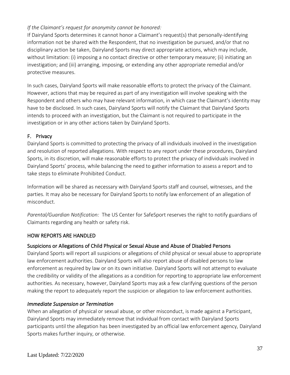## *If the Claimant's request for anonymity cannot be honored:*

If Dairyland Sports determines it cannot honor a Claimant's request(s) that personally-identifying information not be shared with the Respondent, that no investigation be pursued, and/or that no disciplinary action be taken, Dairyland Sports may direct appropriate actions, which may include, without limitation: (i) imposing a no contact directive or other temporary measure; (ii) initiating an investigation; and (iii) arranging, imposing, or extending any other appropriate remedial and/or protective measures.

In such cases, Dairyland Sports will make reasonable efforts to protect the privacy of the Claimant. However, actions that may be required as part of any investigation will involve speaking with the Respondent and others who may have relevant information, in which case the Claimant's identity may have to be disclosed. In such cases, Dairyland Sports will notify the Claimant that Dairyland Sports intends to proceed with an investigation, but the Claimant is not required to participate in the investigation or in any other actions taken by Dairyland Sports.

## F. Privacy

Dairyland Sports is committed to protecting the privacy of all individuals involved in the investigation and resolution of reported allegations. With respect to any report under these procedures, Dairyland Sports, in its discretion, will make reasonable efforts to protect the privacy of individuals involved in Dairyland Sports' process, while balancing the need to gather information to assess a report and to take steps to eliminate Prohibited Conduct.

Information will be shared as necessary with Dairyland Sports staff and counsel, witnesses, and the parties. It may also be necessary for Dairyland Sports to notify law enforcement of an allegation of misconduct.

*Parental/Guardian Notification:* The US Center for SafeSport reserves the right to notify guardians of Claimants regarding any health or safety risk.

## HOW REPORTS ARE HANDLED

#### Suspicions or Allegations of Child Physical or Sexual Abuse and Abuse of Disabled Persons

Dairyland Sports will report all suspicions or allegations of child physical or sexual abuse to appropriate law enforcement authorities. Dairyland Sports will also report abuse of disabled persons to law enforcement as required by law or on its own initiative. Dairyland Sports will not attempt to evaluate the credibility or validity of the allegations as a condition for reporting to appropriate law enforcement authorities. As necessary, however, Dairyland Sports may ask a few clarifying questions of the person making the report to adequately report the suspicion or allegation to law enforcement authorities.

#### *Immediate Suspension or Termination*

When an allegation of physical or sexual abuse, or other misconduct, is made against a Participant, Dairyland Sports may immediately remove that individual from contact with Dairyland Sports participants until the allegation has been investigated by an official law enforcement agency, Dairyland Sports makes further inquiry, or otherwise.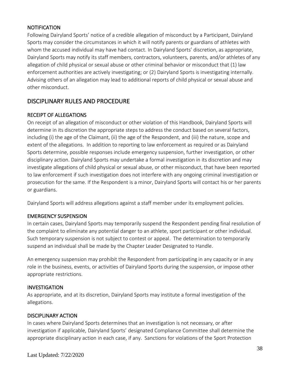## NOTIFICATION

Following Dairyland Sports' notice of a credible allegation of misconduct by a Participant, Dairyland Sports may consider the circumstances in which it will notify parents or guardians of athletes with whom the accused individual may have had contact. In Dairyland Sports' discretion, as appropriate, Dairyland Sports may notify its staff members, contractors, volunteers, parents, and/or athletes of any allegation of child physical or sexual abuse or other criminal behavior or misconduct that (1) law enforcement authorities are actively investigating; or (2) Dairyland Sports is investigating internally. Advising others of an allegation may lead to additional reports of child physical or sexual abuse and other misconduct.

# DISCIPLINARY RULES AND PROCEDURE

## RECEIPT OF ALLEGATIONS

On receipt of an allegation of misconduct or other violation of this Handbook, Dairyland Sports will determine in its discretion the appropriate steps to address the conduct based on several factors, including (i) the age of the Claimant, (ii) the age of the Respondent, and (iii) the nature, scope and extent of the allegations. In addition to reporting to law enforcement as required or as Dairyland Sports determine, possible responses include emergency suspension, further investigation, or other disciplinary action. Dairyland Sports may undertake a formal investigation in its discretion and may investigate allegations of child physical or sexual abuse, or other misconduct, that have been reported to law enforcement if such investigation does not interfere with any ongoing criminal investigation or prosecution for the same. If the Respondent is a minor, Dairyland Sports will contact his or her parents or guardians.

Dairyland Sports will address allegations against a staff member under its employment policies.

#### EMERGENCY SUSPENSION

In certain cases, Dairyland Sports may temporarily suspend the Respondent pending final resolution of the complaint to eliminate any potential danger to an athlete, sport participant or other individual. Such temporary suspension is not subject to contest or appeal. The determination to temporarily suspend an individual shall be made by the Chapter Leader Designated to Handle.

An emergency suspension may prohibit the Respondent from participating in any capacity or in any role in the business, events, or activities of Dairyland Sports during the suspension, or impose other appropriate restrictions.

#### INVESTIGATION

As appropriate, and at its discretion, Dairyland Sports may institute a formal investigation of the allegations.

#### DISCIPLINARY ACTION

In cases where Dairyland Sports determines that an investigation is not necessary, or after investigation if applicable, Dairyland Sports' designated Compliance Committee shall determine the appropriate disciplinary action in each case, if any. Sanctions for violations of the Sport Protection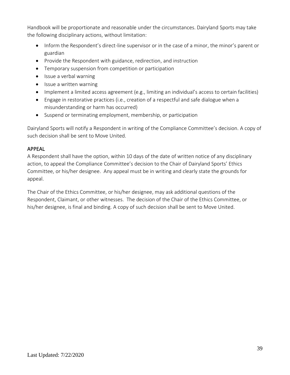Handbook will be proportionate and reasonable under the circumstances. Dairyland Sports may take the following disciplinary actions, without limitation:

- Inform the Respondent's direct-line supervisor or in the case of a minor, the minor's parent or guardian
- Provide the Respondent with guidance, redirection, and instruction
- Temporary suspension from competition or participation
- Issue a verbal warning
- Issue a written warning
- Implement a limited access agreement (e.g., limiting an individual's access to certain facilities)
- Engage in restorative practices (i.e., creation of a respectful and safe dialogue when a misunderstanding or harm has occurred)
- Suspend or terminating employment, membership, or participation

Dairyland Sports will notify a Respondent in writing of the Compliance Committee's decision. A copy of such decision shall be sent to Move United.

## APPEAL

A Respondent shall have the option, within 10 days of the date of written notice of any disciplinary action, to appeal the Compliance Committee's decision to the Chair of Dairyland Sports' Ethics Committee, or his/her designee. Any appeal must be in writing and clearly state the grounds for appeal.

The Chair of the Ethics Committee, or his/her designee, may ask additional questions of the Respondent, Claimant, or other witnesses. The decision of the Chair of the Ethics Committee, or his/her designee, is final and binding. A copy of such decision shall be sent to Move United.